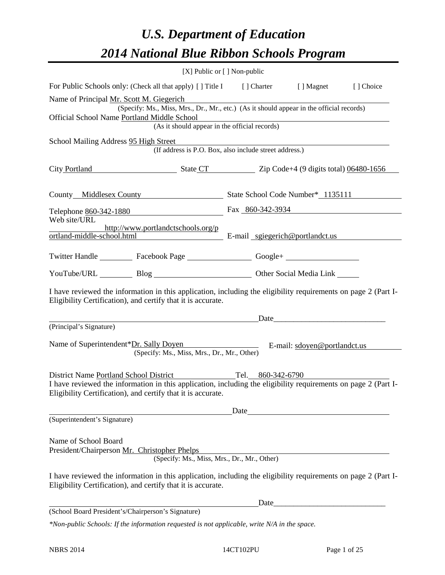# *U.S. Department of Education 2014 National Blue Ribbon Schools Program*

|                                                                      |                                                                                                                                                                                | [X] Public or [] Non-public |                                                                                                                                                                                                                                |           |
|----------------------------------------------------------------------|--------------------------------------------------------------------------------------------------------------------------------------------------------------------------------|-----------------------------|--------------------------------------------------------------------------------------------------------------------------------------------------------------------------------------------------------------------------------|-----------|
|                                                                      | For Public Schools only: (Check all that apply) [] Title I [] Charter [] Magnet                                                                                                |                             |                                                                                                                                                                                                                                | [] Choice |
| Name of Principal Mr. Scott M. Giegerich                             | (Specify: Ms., Miss, Mrs., Dr., Mr., etc.) (As it should appear in the official records)                                                                                       |                             |                                                                                                                                                                                                                                |           |
| Official School Name Portland Middle School                          | Middle School<br>(As it should appear in the official records)                                                                                                                 |                             |                                                                                                                                                                                                                                |           |
| School Mailing Address 95 High Street                                | (If address is P.O. Box, also include street address.)                                                                                                                         |                             |                                                                                                                                                                                                                                |           |
|                                                                      | City Portland State CT Zip Code+4 (9 digits total) 06480-1656                                                                                                                  |                             |                                                                                                                                                                                                                                |           |
|                                                                      | County Middlesex County State School Code Number* 1135111                                                                                                                      |                             |                                                                                                                                                                                                                                |           |
|                                                                      | Telephone 860-342-1880<br>Fax 860-342-3934                                                                                                                                     |                             |                                                                                                                                                                                                                                |           |
| Web site/URL                                                         | http://www.portlandctschools.org/p<br>ortland-middle-school.html E-mail sgiegerich@portlandct.us                                                                               |                             |                                                                                                                                                                                                                                |           |
|                                                                      | Twitter Handle ___________ Facebook Page ___________________ Google+ ____________                                                                                              |                             |                                                                                                                                                                                                                                |           |
|                                                                      | YouTube/URL Blog Blog Diher Social Media Link                                                                                                                                  |                             |                                                                                                                                                                                                                                |           |
|                                                                      | I have reviewed the information in this application, including the eligibility requirements on page 2 (Part I-<br>Eligibility Certification), and certify that it is accurate. |                             |                                                                                                                                                                                                                                |           |
|                                                                      |                                                                                                                                                                                |                             | Date                                                                                                                                                                                                                           |           |
| (Principal's Signature)                                              |                                                                                                                                                                                |                             |                                                                                                                                                                                                                                |           |
|                                                                      | Name of Superintendent*Dr. Sally Doyen<br>E-mail: sdoyen@portlandct.us<br>(Specify: Ms., Miss, Mrs., Dr., Mr., Other)                                                          |                             |                                                                                                                                                                                                                                |           |
|                                                                      | District Name Portland School District Tel. 860-342-6790                                                                                                                       |                             |                                                                                                                                                                                                                                |           |
|                                                                      | I have reviewed the information in this application, including the eligibility requirements on page 2 (Part I-<br>Eligibility Certification), and certify that it is accurate. |                             |                                                                                                                                                                                                                                |           |
|                                                                      |                                                                                                                                                                                |                             | Date and the contract of the contract of the contract of the contract of the contract of the contract of the contract of the contract of the contract of the contract of the contract of the contract of the contract of the c |           |
| (Superintendent's Signature)                                         |                                                                                                                                                                                |                             |                                                                                                                                                                                                                                |           |
| Name of School Board<br>President/Chairperson Mr. Christopher Phelps | (Specify: Ms., Miss, Mrs., Dr., Mr., Other)                                                                                                                                    |                             |                                                                                                                                                                                                                                |           |
|                                                                      | I have reviewed the information in this application, including the eligibility requirements on page 2 (Part I-<br>Eligibility Certification), and certify that it is accurate. |                             |                                                                                                                                                                                                                                |           |
|                                                                      |                                                                                                                                                                                |                             |                                                                                                                                                                                                                                |           |
| (School Board President's/Chairperson's Signature)                   |                                                                                                                                                                                |                             |                                                                                                                                                                                                                                |           |
|                                                                      | *Non-public Schools: If the information requested is not applicable, write N/A in the space.                                                                                   |                             |                                                                                                                                                                                                                                |           |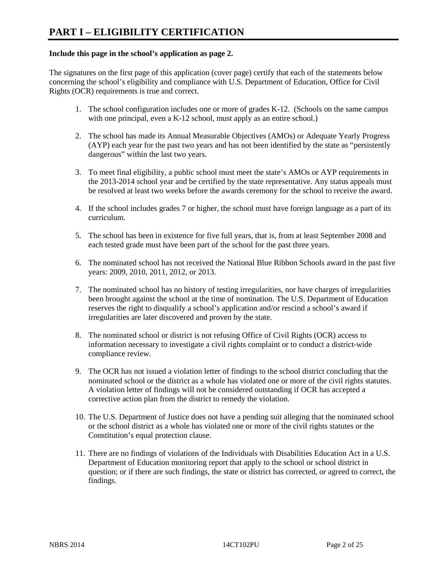#### **Include this page in the school's application as page 2.**

The signatures on the first page of this application (cover page) certify that each of the statements below concerning the school's eligibility and compliance with U.S. Department of Education, Office for Civil Rights (OCR) requirements is true and correct.

- 1. The school configuration includes one or more of grades K-12. (Schools on the same campus with one principal, even a K-12 school, must apply as an entire school.)
- 2. The school has made its Annual Measurable Objectives (AMOs) or Adequate Yearly Progress (AYP) each year for the past two years and has not been identified by the state as "persistently dangerous" within the last two years.
- 3. To meet final eligibility, a public school must meet the state's AMOs or AYP requirements in the 2013-2014 school year and be certified by the state representative. Any status appeals must be resolved at least two weeks before the awards ceremony for the school to receive the award.
- 4. If the school includes grades 7 or higher, the school must have foreign language as a part of its curriculum.
- 5. The school has been in existence for five full years, that is, from at least September 2008 and each tested grade must have been part of the school for the past three years.
- 6. The nominated school has not received the National Blue Ribbon Schools award in the past five years: 2009, 2010, 2011, 2012, or 2013.
- 7. The nominated school has no history of testing irregularities, nor have charges of irregularities been brought against the school at the time of nomination. The U.S. Department of Education reserves the right to disqualify a school's application and/or rescind a school's award if irregularities are later discovered and proven by the state.
- 8. The nominated school or district is not refusing Office of Civil Rights (OCR) access to information necessary to investigate a civil rights complaint or to conduct a district-wide compliance review.
- 9. The OCR has not issued a violation letter of findings to the school district concluding that the nominated school or the district as a whole has violated one or more of the civil rights statutes. A violation letter of findings will not be considered outstanding if OCR has accepted a corrective action plan from the district to remedy the violation.
- 10. The U.S. Department of Justice does not have a pending suit alleging that the nominated school or the school district as a whole has violated one or more of the civil rights statutes or the Constitution's equal protection clause.
- 11. There are no findings of violations of the Individuals with Disabilities Education Act in a U.S. Department of Education monitoring report that apply to the school or school district in question; or if there are such findings, the state or district has corrected, or agreed to correct, the findings.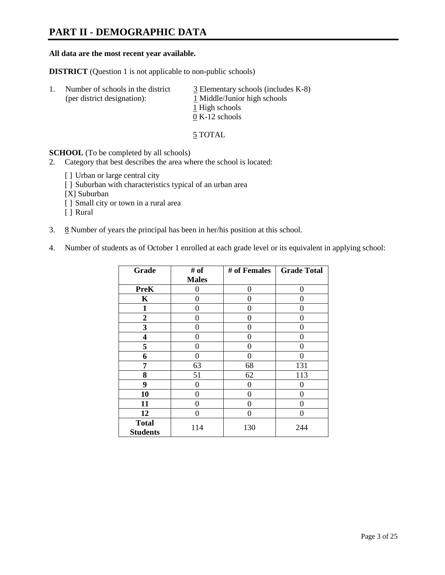### **PART II - DEMOGRAPHIC DATA**

#### **All data are the most recent year available.**

**DISTRICT** (Question 1 is not applicable to non-public schools)

| -1. | Number of schools in the district<br>(per district designation): | $\overline{3}$ Elementary schools (includes K-8)<br>1 Middle/Junior high schools<br>1 High schools |
|-----|------------------------------------------------------------------|----------------------------------------------------------------------------------------------------|
|     |                                                                  | $0 K-12$ schools                                                                                   |

5 TOTAL

**SCHOOL** (To be completed by all schools)

- 2. Category that best describes the area where the school is located:
	- [] Urban or large central city
	- [ ] Suburban with characteristics typical of an urban area
	- [X] Suburban
	- [ ] Small city or town in a rural area
	- [ ] Rural
- 3.  $8$  Number of years the principal has been in her/his position at this school.
- 4. Number of students as of October 1 enrolled at each grade level or its equivalent in applying school:

| Grade                           | # of         | # of Females | <b>Grade Total</b> |
|---------------------------------|--------------|--------------|--------------------|
|                                 | <b>Males</b> |              |                    |
| <b>PreK</b>                     | 0            | $\Omega$     | 0                  |
| K                               | 0            | 0            | 0                  |
| $\mathbf{1}$                    | 0            | 0            | 0                  |
| $\overline{2}$                  | 0            | 0            | 0                  |
| 3                               | 0            | 0            | 0                  |
| 4                               | 0            | 0            | 0                  |
| 5                               | 0            | 0            | 0                  |
| 6                               | 0            | 0            |                    |
| 7                               | 63           | 68           | 131                |
| 8                               | 51           | 62           | 113                |
| 9                               | 0            | 0            | 0                  |
| 10                              | 0            | 0            | 0                  |
| 11                              | 0            | 0            | 0                  |
| 12                              | 0            | 0            | 0                  |
| <b>Total</b><br><b>Students</b> | 114          | 130          | 244                |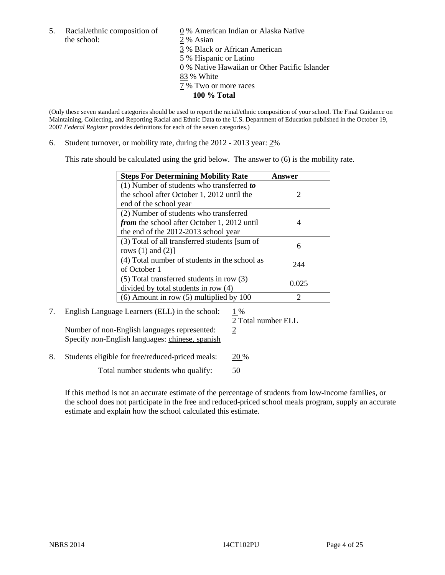5. Racial/ethnic composition of  $\qquad \qquad \underline{0}$  % American Indian or Alaska Native the school: 2 % Asian

 3 % Black or African American 5 % Hispanic or Latino 0 % Native Hawaiian or Other Pacific Islander 83 % White 7 % Two or more races

**100 % Total** 

(Only these seven standard categories should be used to report the racial/ethnic composition of your school. The Final Guidance on Maintaining, Collecting, and Reporting Racial and Ethnic Data to the U.S. Department of Education published in the October 19, 2007 *Federal Register* provides definitions for each of the seven categories.)

6. Student turnover, or mobility rate, during the 2012 - 2013 year: 2%

This rate should be calculated using the grid below. The answer to (6) is the mobility rate.

| <b>Steps For Determining Mobility Rate</b>         | Answer                      |
|----------------------------------------------------|-----------------------------|
| (1) Number of students who transferred to          |                             |
| the school after October 1, 2012 until the         | $\mathcal{D}_{\mathcal{L}}$ |
| end of the school year                             |                             |
| (2) Number of students who transferred             |                             |
| <i>from</i> the school after October 1, 2012 until |                             |
| the end of the 2012-2013 school year               |                             |
| (3) Total of all transferred students [sum of      | 6                           |
| rows $(1)$ and $(2)$ ]                             |                             |
| (4) Total number of students in the school as      | 244                         |
| of October 1                                       |                             |
| $(5)$ Total transferred students in row $(3)$      | 0.025                       |
| divided by total students in row (4)               |                             |
| $(6)$ Amount in row $(5)$ multiplied by 100        | っ                           |

7. English Language Learners (ELL) in the school:  $1\%$ Number of non-English languages represented:  $2$ 

Specify non-English languages: chinese, spanish

2 Total number ELL

8. Students eligible for free/reduced-priced meals: 20 %

Total number students who qualify:  $\frac{50}{2}$ 

If this method is not an accurate estimate of the percentage of students from low-income families, or the school does not participate in the free and reduced-priced school meals program, supply an accurate estimate and explain how the school calculated this estimate.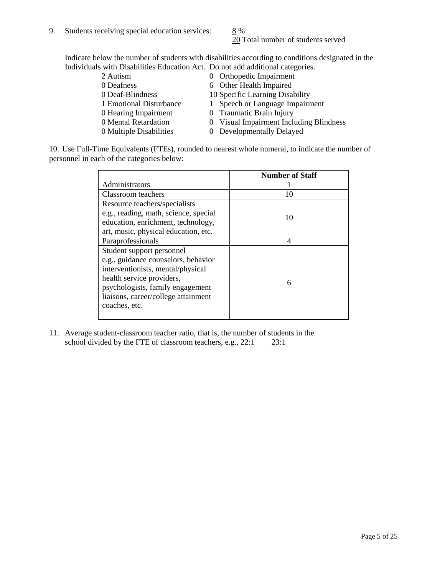20 Total number of students served

Indicate below the number of students with disabilities according to conditions designated in the Individuals with Disabilities Education Act. Do not add additional categories.

| 2 Autism                | 0 Orthopedic Impairment                 |
|-------------------------|-----------------------------------------|
| 0 Deafness              | 6 Other Health Impaired                 |
| 0 Deaf-Blindness        | 10 Specific Learning Disability         |
| 1 Emotional Disturbance | 1 Speech or Language Impairment         |
| 0 Hearing Impairment    | 0 Traumatic Brain Injury                |
| 0 Mental Retardation    | 0 Visual Impairment Including Blindness |
| 0 Multiple Disabilities | 0 Developmentally Delayed               |
|                         |                                         |

10. Use Full-Time Equivalents (FTEs), rounded to nearest whole numeral, to indicate the number of personnel in each of the categories below:

|                                       | <b>Number of Staff</b> |
|---------------------------------------|------------------------|
| Administrators                        |                        |
| Classroom teachers                    | 10                     |
| Resource teachers/specialists         |                        |
| e.g., reading, math, science, special | 10                     |
| education, enrichment, technology,    |                        |
| art, music, physical education, etc.  |                        |
| Paraprofessionals                     | 4                      |
| Student support personnel             |                        |
| e.g., guidance counselors, behavior   |                        |
| interventionists, mental/physical     |                        |
| health service providers,             | 6                      |
| psychologists, family engagement      |                        |
| liaisons, career/college attainment   |                        |
| coaches, etc.                         |                        |
|                                       |                        |

11. Average student-classroom teacher ratio, that is, the number of students in the school divided by the FTE of classroom teachers, e.g.,  $22:1$   $23:1$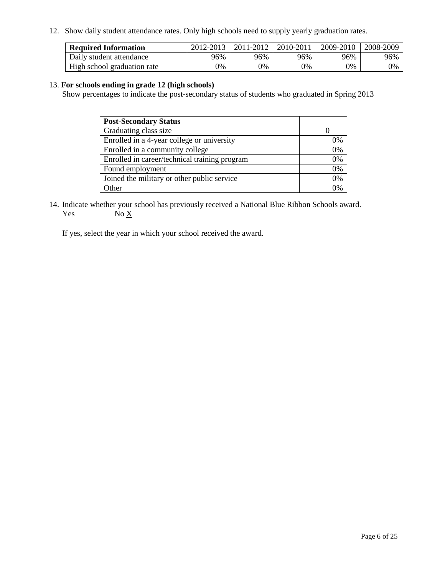12. Show daily student attendance rates. Only high schools need to supply yearly graduation rates.

| <b>Required Information</b> | 2012-2013 | 2011-2012 | 2010-2011 | 2009-2010 | 2008-2009 |
|-----------------------------|-----------|-----------|-----------|-----------|-----------|
| Daily student attendance    | 96%       | 96%       | 96%       | 96%       | 96%       |
| High school graduation rate | 0%        | 9%        | 0%        | 0%        | 0%        |

#### 13. **For schools ending in grade 12 (high schools)**

Show percentages to indicate the post-secondary status of students who graduated in Spring 2013

| <b>Post-Secondary Status</b>                  |    |
|-----------------------------------------------|----|
| Graduating class size                         |    |
| Enrolled in a 4-year college or university    | 0% |
| Enrolled in a community college               | 0% |
| Enrolled in career/technical training program | 0% |
| Found employment                              | 0% |
| Joined the military or other public service   | 0% |
| <b>Other</b>                                  | 2% |

14. Indicate whether your school has previously received a National Blue Ribbon Schools award. Yes  $No \underline{X}$ 

If yes, select the year in which your school received the award.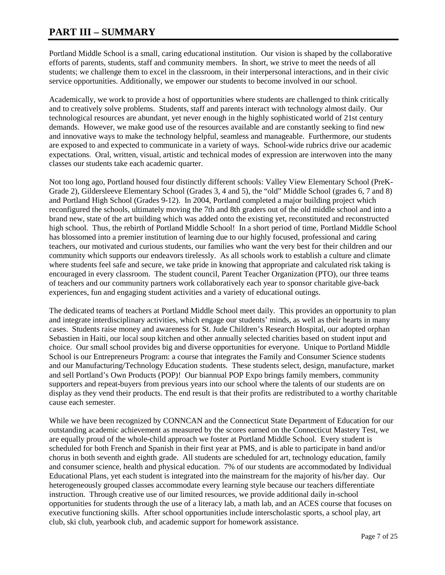### **PART III – SUMMARY**

Portland Middle School is a small, caring educational institution. Our vision is shaped by the collaborative efforts of parents, students, staff and community members. In short, we strive to meet the needs of all students; we challenge them to excel in the classroom, in their interpersonal interactions, and in their civic service opportunities. Additionally, we empower our students to become involved in our school.

Academically, we work to provide a host of opportunities where students are challenged to think critically and to creatively solve problems. Students, staff and parents interact with technology almost daily. Our technological resources are abundant, yet never enough in the highly sophisticated world of 21st century demands. However, we make good use of the resources available and are constantly seeking to find new and innovative ways to make the technology helpful, seamless and manageable. Furthermore, our students are exposed to and expected to communicate in a variety of ways. School-wide rubrics drive our academic expectations. Oral, written, visual, artistic and technical modes of expression are interwoven into the many classes our students take each academic quarter.

Not too long ago, Portland housed four distinctly different schools: Valley View Elementary School (PreK-Grade 2), Gildersleeve Elementary School (Grades 3, 4 and 5), the "old" Middle School (grades 6, 7 and 8) and Portland High School (Grades 9-12). In 2004, Portland completed a major building project which reconfigured the schools, ultimately moving the 7th and 8th graders out of the old middle school and into a brand new, state of the art building which was added onto the existing yet, reconstituted and reconstructed high school. Thus, the rebirth of Portland Middle School! In a short period of time, Portland Middle School has blossomed into a premier institution of learning due to our highly focused, professional and caring teachers, our motivated and curious students, our families who want the very best for their children and our community which supports our endeavors tirelessly. As all schools work to establish a culture and climate where students feel safe and secure, we take pride in knowing that appropriate and calculated risk taking is encouraged in every classroom. The student council, Parent Teacher Organization (PTO), our three teams of teachers and our community partners work collaboratively each year to sponsor charitable give-back experiences, fun and engaging student activities and a variety of educational outings.

The dedicated teams of teachers at Portland Middle School meet daily. This provides an opportunity to plan and integrate interdisciplinary activities, which engage our students' minds, as well as their hearts in many cases. Students raise money and awareness for St. Jude Children's Research Hospital, our adopted orphan Sebastien in Haiti, our local soup kitchen and other annually selected charities based on student input and choice. Our small school provides big and diverse opportunities for everyone. Unique to Portland Middle School is our Entrepreneurs Program: a course that integrates the Family and Consumer Science students and our Manufacturing/Technology Education students. These students select, design, manufacture, market and sell Portland's Own Products (POP)! Our biannual POP Expo brings family members, community supporters and repeat-buyers from previous years into our school where the talents of our students are on display as they vend their products. The end result is that their profits are redistributed to a worthy charitable cause each semester.

While we have been recognized by CONNCAN and the Connecticut State Department of Education for our outstanding academic achievement as measured by the scores earned on the Connecticut Mastery Test, we are equally proud of the whole-child approach we foster at Portland Middle School. Every student is scheduled for both French and Spanish in their first year at PMS, and is able to participate in band and/or chorus in both seventh and eighth grade. All students are scheduled for art, technology education, family and consumer science, health and physical education. 7% of our students are accommodated by Individual Educational Plans, yet each student is integrated into the mainstream for the majority of his/her day. Our heterogeneously grouped classes accommodate every learning style because our teachers differentiate instruction. Through creative use of our limited resources, we provide additional daily in-school opportunities for students through the use of a literacy lab, a math lab, and an ACES course that focuses on executive functioning skills. After school opportunities include interscholastic sports, a school play, art club, ski club, yearbook club, and academic support for homework assistance.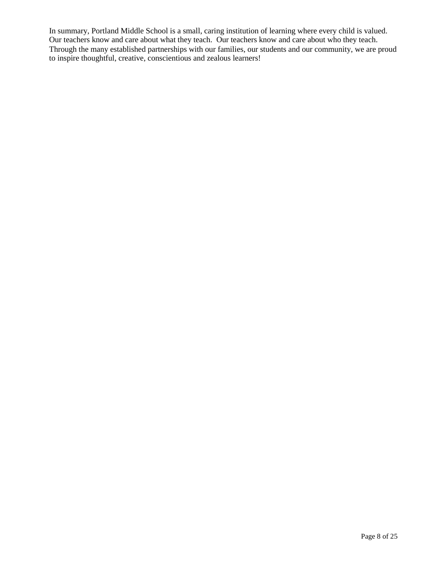In summary, Portland Middle School is a small, caring institution of learning where every child is valued. Our teachers know and care about what they teach. Our teachers know and care about who they teach. Through the many established partnerships with our families, our students and our community, we are proud to inspire thoughtful, creative, conscientious and zealous learners!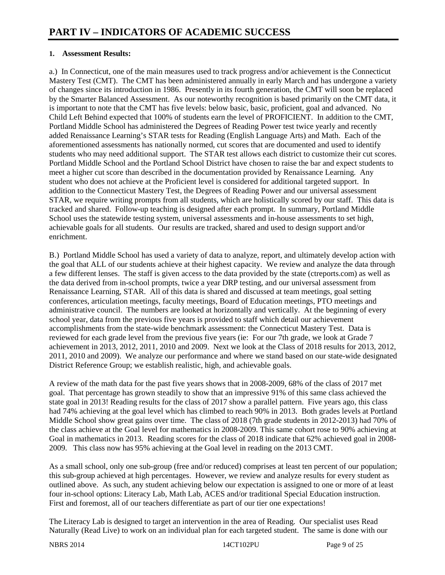#### **1. Assessment Results:**

a.) In Connecticut, one of the main measures used to track progress and/or achievement is the Connecticut Mastery Test (CMT). The CMT has been administered annually in early March and has undergone a variety of changes since its introduction in 1986. Presently in its fourth generation, the CMT will soon be replaced by the Smarter Balanced Assessment. As our noteworthy recognition is based primarily on the CMT data, it is important to note that the CMT has five levels: below basic, basic, proficient, goal and advanced. No Child Left Behind expected that 100% of students earn the level of PROFICIENT. In addition to the CMT, Portland Middle School has administered the Degrees of Reading Power test twice yearly and recently added Renaissance Learning's STAR tests for Reading (English Language Arts) and Math. Each of the aforementioned assessments has nationally normed, cut scores that are documented and used to identify students who may need additional support. The STAR test allows each district to customize their cut scores. Portland Middle School and the Portland School District have chosen to raise the bar and expect students to meet a higher cut score than described in the documentation provided by Renaissance Learning. Any student who does not achieve at the Proficient level is considered for additional targeted support. In addition to the Connecticut Mastery Test, the Degrees of Reading Power and our universal assessment STAR, we require writing prompts from all students, which are holistically scored by our staff. This data is tracked and shared. Follow-up teaching is designed after each prompt. In summary, Portland Middle School uses the statewide testing system, universal assessments and in-house assessments to set high, achievable goals for all students. Our results are tracked, shared and used to design support and/or enrichment.

B.) Portland Middle School has used a variety of data to analyze, report, and ultimately develop action with the goal that ALL of our students achieve at their highest capacity. We review and analyze the data through a few different lenses. The staff is given access to the data provided by the state (ctreports.com) as well as the data derived from in-school prompts, twice a year DRP testing, and our universal assessment from Renaissance Learning, STAR. All of this data is shared and discussed at team meetings, goal setting conferences, articulation meetings, faculty meetings, Board of Education meetings, PTO meetings and administrative council. The numbers are looked at horizontally and vertically. At the beginning of every school year, data from the previous five years is provided to staff which detail our achievement accomplishments from the state-wide benchmark assessment: the Connecticut Mastery Test. Data is reviewed for each grade level from the previous five years (ie: For our 7th grade, we look at Grade 7 achievement in 2013, 2012, 2011, 2010 and 2009. Next we look at the Class of 2018 results for 2013, 2012, 2011, 2010 and 2009). We analyze our performance and where we stand based on our state-wide designated District Reference Group; we establish realistic, high, and achievable goals.

A review of the math data for the past five years shows that in 2008-2009, 68% of the class of 2017 met goal. That percentage has grown steadily to show that an impressive 91% of this same class achieved the state goal in 2013! Reading results for the class of 2017 show a parallel pattern. Five years ago, this class had 74% achieving at the goal level which has climbed to reach 90% in 2013. Both grades levels at Portland Middle School show great gains over time. The class of 2018 (7th grade students in 2012-2013) had 70% of the class achieve at the Goal level for mathematics in 2008-2009. This same cohort rose to 90% achieving at Goal in mathematics in 2013. Reading scores for the class of 2018 indicate that 62% achieved goal in 2008- 2009. This class now has 95% achieving at the Goal level in reading on the 2013 CMT.

As a small school, only one sub-group (free and/or reduced) comprises at least ten percent of our population; this sub-group achieved at high percentages. However, we review and analyze results for every student as outlined above. As such, any student achieving below our expectation is assigned to one or more of at least four in-school options: Literacy Lab, Math Lab, ACES and/or traditional Special Education instruction. First and foremost, all of our teachers differentiate as part of our tier one expectations!

The Literacy Lab is designed to target an intervention in the area of Reading. Our specialist uses Read Naturally (Read Live) to work on an individual plan for each targeted student. The same is done with our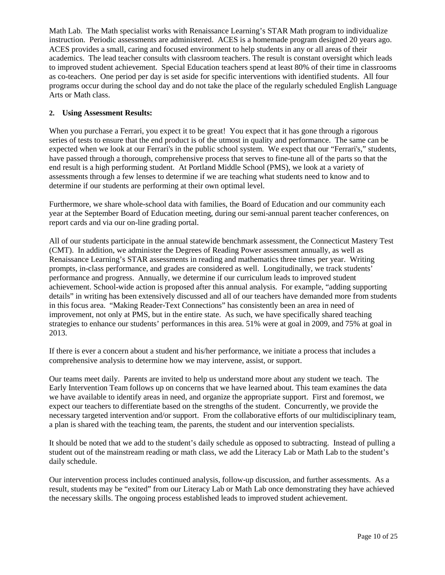Math Lab. The Math specialist works with Renaissance Learning's STAR Math program to individualize instruction. Periodic assessments are administered. ACES is a homemade program designed 20 years ago. ACES provides a small, caring and focused environment to help students in any or all areas of their academics. The lead teacher consults with classroom teachers. The result is constant oversight which leads to improved student achievement. Special Education teachers spend at least 80% of their time in classrooms as co-teachers. One period per day is set aside for specific interventions with identified students. All four programs occur during the school day and do not take the place of the regularly scheduled English Language Arts or Math class.

#### **2. Using Assessment Results:**

When you purchase a Ferrari, you expect it to be great! You expect that it has gone through a rigorous series of tests to ensure that the end product is of the utmost in quality and performance. The same can be expected when we look at our Ferrari's in the public school system. We expect that our "Ferrari's," students, have passed through a thorough, comprehensive process that serves to fine-tune all of the parts so that the end result is a high performing student. At Portland Middle School (PMS), we look at a variety of assessments through a few lenses to determine if we are teaching what students need to know and to determine if our students are performing at their own optimal level.

Furthermore, we share whole-school data with families, the Board of Education and our community each year at the September Board of Education meeting, during our semi-annual parent teacher conferences, on report cards and via our on-line grading portal.

All of our students participate in the annual statewide benchmark assessment, the Connecticut Mastery Test (CMT). In addition, we administer the Degrees of Reading Power assessment annually, as well as Renaissance Learning's STAR assessments in reading and mathematics three times per year. Writing prompts, in-class performance, and grades are considered as well. Longitudinally, we track students' performance and progress. Annually, we determine if our curriculum leads to improved student achievement. School-wide action is proposed after this annual analysis. For example, "adding supporting details" in writing has been extensively discussed and all of our teachers have demanded more from students in this focus area. "Making Reader-Text Connections" has consistently been an area in need of improvement, not only at PMS, but in the entire state. As such, we have specifically shared teaching strategies to enhance our students' performances in this area. 51% were at goal in 2009, and 75% at goal in 2013.

If there is ever a concern about a student and his/her performance, we initiate a process that includes a comprehensive analysis to determine how we may intervene, assist, or support.

Our teams meet daily. Parents are invited to help us understand more about any student we teach. The Early Intervention Team follows up on concerns that we have learned about. This team examines the data we have available to identify areas in need, and organize the appropriate support. First and foremost, we expect our teachers to differentiate based on the strengths of the student. Concurrently, we provide the necessary targeted intervention and/or support. From the collaborative efforts of our multidisciplinary team, a plan is shared with the teaching team, the parents, the student and our intervention specialists.

It should be noted that we add to the student's daily schedule as opposed to subtracting. Instead of pulling a student out of the mainstream reading or math class, we add the Literacy Lab or Math Lab to the student's daily schedule.

Our intervention process includes continued analysis, follow-up discussion, and further assessments. As a result, students may be "exited" from our Literacy Lab or Math Lab once demonstrating they have achieved the necessary skills. The ongoing process established leads to improved student achievement.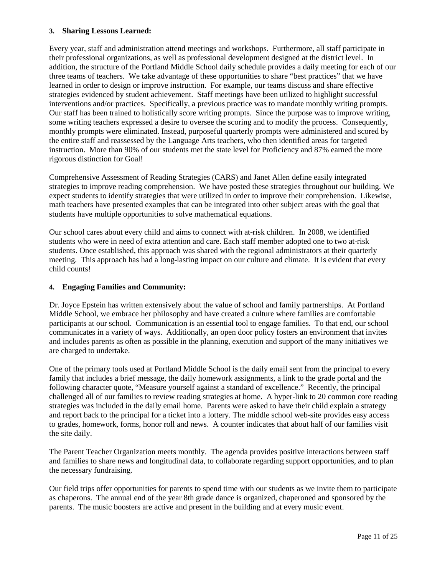#### **3. Sharing Lessons Learned:**

Every year, staff and administration attend meetings and workshops. Furthermore, all staff participate in their professional organizations, as well as professional development designed at the district level. In addition, the structure of the Portland Middle School daily schedule provides a daily meeting for each of our three teams of teachers. We take advantage of these opportunities to share "best practices" that we have learned in order to design or improve instruction. For example, our teams discuss and share effective strategies evidenced by student achievement. Staff meetings have been utilized to highlight successful interventions and/or practices. Specifically, a previous practice was to mandate monthly writing prompts. Our staff has been trained to holistically score writing prompts. Since the purpose was to improve writing, some writing teachers expressed a desire to oversee the scoring and to modify the process. Consequently, monthly prompts were eliminated. Instead, purposeful quarterly prompts were administered and scored by the entire staff and reassessed by the Language Arts teachers, who then identified areas for targeted instruction. More than 90% of our students met the state level for Proficiency and 87% earned the more rigorous distinction for Goal!

Comprehensive Assessment of Reading Strategies (CARS) and Janet Allen define easily integrated strategies to improve reading comprehension. We have posted these strategies throughout our building. We expect students to identify strategies that were utilized in order to improve their comprehension. Likewise, math teachers have presented examples that can be integrated into other subject areas with the goal that students have multiple opportunities to solve mathematical equations.

Our school cares about every child and aims to connect with at-risk children. In 2008, we identified students who were in need of extra attention and care. Each staff member adopted one to two at-risk students. Once established, this approach was shared with the regional administrators at their quarterly meeting. This approach has had a long-lasting impact on our culture and climate. It is evident that every child counts!

#### **4. Engaging Families and Community:**

Dr. Joyce Epstein has written extensively about the value of school and family partnerships. At Portland Middle School, we embrace her philosophy and have created a culture where families are comfortable participants at our school. Communication is an essential tool to engage families. To that end, our school communicates in a variety of ways. Additionally, an open door policy fosters an environment that invites and includes parents as often as possible in the planning, execution and support of the many initiatives we are charged to undertake.

One of the primary tools used at Portland Middle School is the daily email sent from the principal to every family that includes a brief message, the daily homework assignments, a link to the grade portal and the following character quote, "Measure yourself against a standard of excellence." Recently, the principal challenged all of our families to review reading strategies at home. A hyper-link to 20 common core reading strategies was included in the daily email home. Parents were asked to have their child explain a strategy and report back to the principal for a ticket into a lottery. The middle school web-site provides easy access to grades, homework, forms, honor roll and news. A counter indicates that about half of our families visit the site daily.

The Parent Teacher Organization meets monthly. The agenda provides positive interactions between staff and families to share news and longitudinal data, to collaborate regarding support opportunities, and to plan the necessary fundraising.

Our field trips offer opportunities for parents to spend time with our students as we invite them to participate as chaperons. The annual end of the year 8th grade dance is organized, chaperoned and sponsored by the parents. The music boosters are active and present in the building and at every music event.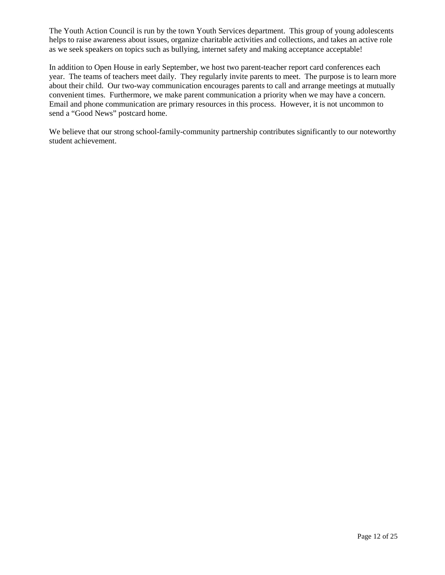The Youth Action Council is run by the town Youth Services department. This group of young adolescents helps to raise awareness about issues, organize charitable activities and collections, and takes an active role as we seek speakers on topics such as bullying, internet safety and making acceptance acceptable!

In addition to Open House in early September, we host two parent-teacher report card conferences each year. The teams of teachers meet daily. They regularly invite parents to meet. The purpose is to learn more about their child. Our two-way communication encourages parents to call and arrange meetings at mutually convenient times. Furthermore, we make parent communication a priority when we may have a concern. Email and phone communication are primary resources in this process. However, it is not uncommon to send a "Good News" postcard home.

We believe that our strong school-family-community partnership contributes significantly to our noteworthy student achievement.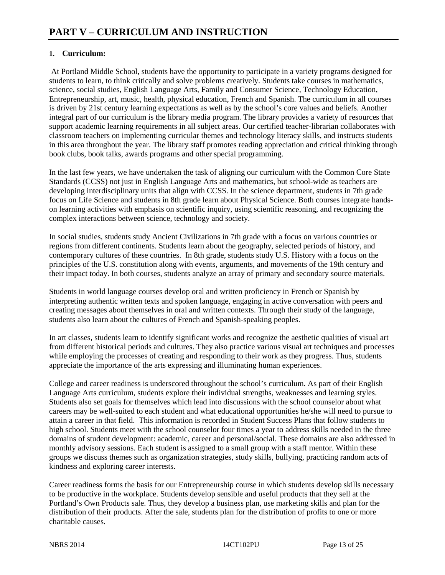#### **1. Curriculum:**

 At Portland Middle School, students have the opportunity to participate in a variety programs designed for students to learn, to think critically and solve problems creatively. Students take courses in mathematics, science, social studies, English Language Arts, Family and Consumer Science, Technology Education, Entrepreneurship, art, music, health, physical education, French and Spanish. The curriculum in all courses is driven by 21st century learning expectations as well as by the school's core values and beliefs. Another integral part of our curriculum is the library media program. The library provides a variety of resources that support academic learning requirements in all subject areas. Our certified teacher-librarian collaborates with classroom teachers on implementing curricular themes and technology literacy skills, and instructs students in this area throughout the year. The library staff promotes reading appreciation and critical thinking through book clubs, book talks, awards programs and other special programming.

In the last few years, we have undertaken the task of aligning our curriculum with the Common Core State Standards (CCSS) not just in English Language Arts and mathematics, but school-wide as teachers are developing interdisciplinary units that align with CCSS. In the science department, students in 7th grade focus on Life Science and students in 8th grade learn about Physical Science. Both courses integrate handson learning activities with emphasis on scientific inquiry, using scientific reasoning, and recognizing the complex interactions between science, technology and society.

In social studies, students study Ancient Civilizations in 7th grade with a focus on various countries or regions from different continents. Students learn about the geography, selected periods of history, and contemporary cultures of these countries. In 8th grade, students study U.S. History with a focus on the principles of the U.S. constitution along with events, arguments, and movements of the 19th century and their impact today. In both courses, students analyze an array of primary and secondary source materials.

Students in world language courses develop oral and written proficiency in French or Spanish by interpreting authentic written texts and spoken language, engaging in active conversation with peers and creating messages about themselves in oral and written contexts. Through their study of the language, students also learn about the cultures of French and Spanish-speaking peoples.

In art classes, students learn to identify significant works and recognize the aesthetic qualities of visual art from different historical periods and cultures. They also practice various visual art techniques and processes while employing the processes of creating and responding to their work as they progress. Thus, students appreciate the importance of the arts expressing and illuminating human experiences.

College and career readiness is underscored throughout the school's curriculum. As part of their English Language Arts curriculum, students explore their individual strengths, weaknesses and learning styles. Students also set goals for themselves which lead into discussions with the school counselor about what careers may be well-suited to each student and what educational opportunities he/she will need to pursue to attain a career in that field. This information is recorded in Student Success Plans that follow students to high school. Students meet with the school counselor four times a year to address skills needed in the three domains of student development: academic, career and personal/social. These domains are also addressed in monthly advisory sessions. Each student is assigned to a small group with a staff mentor. Within these groups we discuss themes such as organization strategies, study skills, bullying, practicing random acts of kindness and exploring career interests.

Career readiness forms the basis for our Entrepreneurship course in which students develop skills necessary to be productive in the workplace. Students develop sensible and useful products that they sell at the Portland's Own Products sale. Thus, they develop a business plan, use marketing skills and plan for the distribution of their products. After the sale, students plan for the distribution of profits to one or more charitable causes.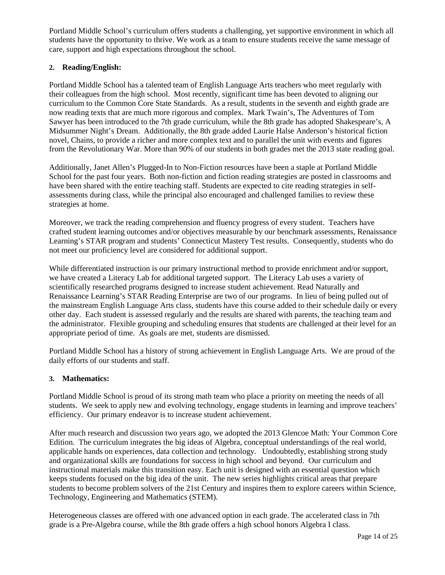Portland Middle School's curriculum offers students a challenging, yet supportive environment in which all students have the opportunity to thrive. We work as a team to ensure students receive the same message of care, support and high expectations throughout the school.

#### **2. Reading/English:**

Portland Middle School has a talented team of English Language Arts teachers who meet regularly with their colleagues from the high school. Most recently, significant time has been devoted to aligning our curriculum to the Common Core State Standards. As a result, students in the seventh and eighth grade are now reading texts that are much more rigorous and complex. Mark Twain's, The Adventures of Tom Sawyer has been introduced to the 7th grade curriculum, while the 8th grade has adopted Shakespeare's, A Midsummer Night's Dream. Additionally, the 8th grade added Laurie Halse Anderson's historical fiction novel, Chains, to provide a richer and more complex text and to parallel the unit with events and figures from the Revolutionary War. More than 90% of our students in both grades met the 2013 state reading goal.

Additionally, Janet Allen's Plugged-In to Non-Fiction resources have been a staple at Portland Middle School for the past four years. Both non-fiction and fiction reading strategies are posted in classrooms and have been shared with the entire teaching staff. Students are expected to cite reading strategies in selfassessments during class, while the principal also encouraged and challenged families to review these strategies at home.

Moreover, we track the reading comprehension and fluency progress of every student. Teachers have crafted student learning outcomes and/or objectives measurable by our benchmark assessments, Renaissance Learning's STAR program and students' Connecticut Mastery Test results. Consequently, students who do not meet our proficiency level are considered for additional support.

While differentiated instruction is our primary instructional method to provide enrichment and/or support, we have created a Literacy Lab for additional targeted support. The Literacy Lab uses a variety of scientifically researched programs designed to increase student achievement. Read Naturally and Renaissance Learning's STAR Reading Enterprise are two of our programs. In lieu of being pulled out of the mainstream English Language Arts class, students have this course added to their schedule daily or every other day. Each student is assessed regularly and the results are shared with parents, the teaching team and the administrator. Flexible grouping and scheduling ensures that students are challenged at their level for an appropriate period of time. As goals are met, students are dismissed.

Portland Middle School has a history of strong achievement in English Language Arts. We are proud of the daily efforts of our students and staff.

#### **3. Mathematics:**

Portland Middle School is proud of its strong math team who place a priority on meeting the needs of all students. We seek to apply new and evolving technology, engage students in learning and improve teachers' efficiency. Our primary endeavor is to increase student achievement.

After much research and discussion two years ago, we adopted the 2013 Glencoe Math: Your Common Core Edition. The curriculum integrates the big ideas of Algebra, conceptual understandings of the real world, applicable hands on experiences, data collection and technology. Undoubtedly, establishing strong study and organizational skills are foundations for success in high school and beyond. Our curriculum and instructional materials make this transition easy. Each unit is designed with an essential question which keeps students focused on the big idea of the unit. The new series highlights critical areas that prepare students to become problem solvers of the 21st Century and inspires them to explore careers within Science, Technology, Engineering and Mathematics (STEM).

Heterogeneous classes are offered with one advanced option in each grade. The accelerated class in 7th grade is a Pre-Algebra course, while the 8th grade offers a high school honors Algebra I class.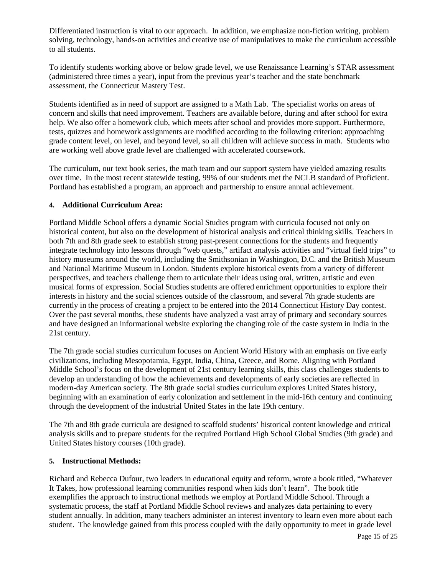Differentiated instruction is vital to our approach. In addition, we emphasize non-fiction writing, problem solving, technology, hands-on activities and creative use of manipulatives to make the curriculum accessible to all students.

To identify students working above or below grade level, we use Renaissance Learning's STAR assessment (administered three times a year), input from the previous year's teacher and the state benchmark assessment, the Connecticut Mastery Test.

Students identified as in need of support are assigned to a Math Lab. The specialist works on areas of concern and skills that need improvement. Teachers are available before, during and after school for extra help. We also offer a homework club, which meets after school and provides more support. Furthermore, tests, quizzes and homework assignments are modified according to the following criterion: approaching grade content level, on level, and beyond level, so all children will achieve success in math. Students who are working well above grade level are challenged with accelerated coursework.

The curriculum, our text book series, the math team and our support system have yielded amazing results over time. In the most recent statewide testing, 99% of our students met the NCLB standard of Proficient. Portland has established a program, an approach and partnership to ensure annual achievement.

#### **4. Additional Curriculum Area:**

Portland Middle School offers a dynamic Social Studies program with curricula focused not only on historical content, but also on the development of historical analysis and critical thinking skills. Teachers in both 7th and 8th grade seek to establish strong past-present connections for the students and frequently integrate technology into lessons through "web quests," artifact analysis activities and "virtual field trips" to history museums around the world, including the Smithsonian in Washington, D.C. and the British Museum and National Maritime Museum in London. Students explore historical events from a variety of different perspectives, and teachers challenge them to articulate their ideas using oral, written, artistic and even musical forms of expression. Social Studies students are offered enrichment opportunities to explore their interests in history and the social sciences outside of the classroom, and several 7th grade students are currently in the process of creating a project to be entered into the 2014 Connecticut History Day contest. Over the past several months, these students have analyzed a vast array of primary and secondary sources and have designed an informational website exploring the changing role of the caste system in India in the 21st century.

The 7th grade social studies curriculum focuses on Ancient World History with an emphasis on five early civilizations, including Mesopotamia, Egypt, India, China, Greece, and Rome. Aligning with Portland Middle School's focus on the development of 21st century learning skills, this class challenges students to develop an understanding of how the achievements and developments of early societies are reflected in modern-day American society. The 8th grade social studies curriculum explores United States history, beginning with an examination of early colonization and settlement in the mid-16th century and continuing through the development of the industrial United States in the late 19th century.

The 7th and 8th grade curricula are designed to scaffold students' historical content knowledge and critical analysis skills and to prepare students for the required Portland High School Global Studies (9th grade) and United States history courses (10th grade).

#### **5. Instructional Methods:**

Richard and Rebecca Dufour, two leaders in educational equity and reform, wrote a book titled, "Whatever It Takes, how professional learning communities respond when kids don't learn". The book title exemplifies the approach to instructional methods we employ at Portland Middle School. Through a systematic process, the staff at Portland Middle School reviews and analyzes data pertaining to every student annually. In addition, many teachers administer an interest inventory to learn even more about each student. The knowledge gained from this process coupled with the daily opportunity to meet in grade level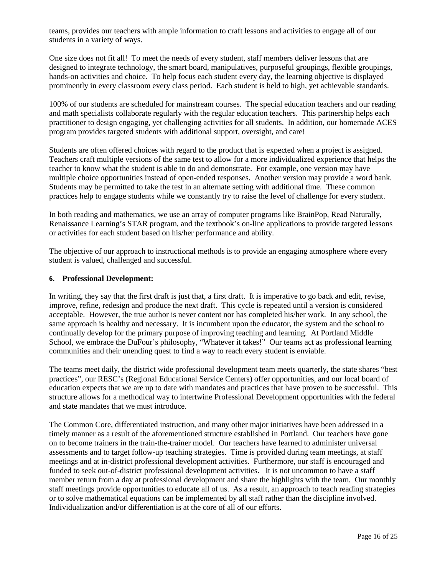teams, provides our teachers with ample information to craft lessons and activities to engage all of our students in a variety of ways.

One size does not fit all! To meet the needs of every student, staff members deliver lessons that are designed to integrate technology, the smart board, manipulatives, purposeful groupings, flexible groupings, hands-on activities and choice. To help focus each student every day, the learning objective is displayed prominently in every classroom every class period. Each student is held to high, yet achievable standards.

100% of our students are scheduled for mainstream courses. The special education teachers and our reading and math specialists collaborate regularly with the regular education teachers. This partnership helps each practitioner to design engaging, yet challenging activities for all students. In addition, our homemade ACES program provides targeted students with additional support, oversight, and care!

Students are often offered choices with regard to the product that is expected when a project is assigned. Teachers craft multiple versions of the same test to allow for a more individualized experience that helps the teacher to know what the student is able to do and demonstrate. For example, one version may have multiple choice opportunities instead of open-ended responses. Another version may provide a word bank. Students may be permitted to take the test in an alternate setting with additional time. These common practices help to engage students while we constantly try to raise the level of challenge for every student.

In both reading and mathematics, we use an array of computer programs like BrainPop, Read Naturally, Renaissance Learning's STAR program, and the textbook's on-line applications to provide targeted lessons or activities for each student based on his/her performance and ability.

The objective of our approach to instructional methods is to provide an engaging atmosphere where every student is valued, challenged and successful.

#### **6. Professional Development:**

In writing, they say that the first draft is just that, a first draft. It is imperative to go back and edit, revise, improve, refine, redesign and produce the next draft. This cycle is repeated until a version is considered acceptable. However, the true author is never content nor has completed his/her work. In any school, the same approach is healthy and necessary. It is incumbent upon the educator, the system and the school to continually develop for the primary purpose of improving teaching and learning. At Portland Middle School, we embrace the DuFour's philosophy, "Whatever it takes!" Our teams act as professional learning communities and their unending quest to find a way to reach every student is enviable.

The teams meet daily, the district wide professional development team meets quarterly, the state shares "best practices", our RESC's (Regional Educational Service Centers) offer opportunities, and our local board of education expects that we are up to date with mandates and practices that have proven to be successful. This structure allows for a methodical way to intertwine Professional Development opportunities with the federal and state mandates that we must introduce.

The Common Core, differentiated instruction, and many other major initiatives have been addressed in a timely manner as a result of the aforementioned structure established in Portland. Our teachers have gone on to become trainers in the train-the-trainer model. Our teachers have learned to administer universal assessments and to target follow-up teaching strategies. Time is provided during team meetings, at staff meetings and at in-district professional development activities. Furthermore, our staff is encouraged and funded to seek out-of-district professional development activities. It is not uncommon to have a staff member return from a day at professional development and share the highlights with the team. Our monthly staff meetings provide opportunities to educate all of us. As a result, an approach to teach reading strategies or to solve mathematical equations can be implemented by all staff rather than the discipline involved. Individualization and/or differentiation is at the core of all of our efforts.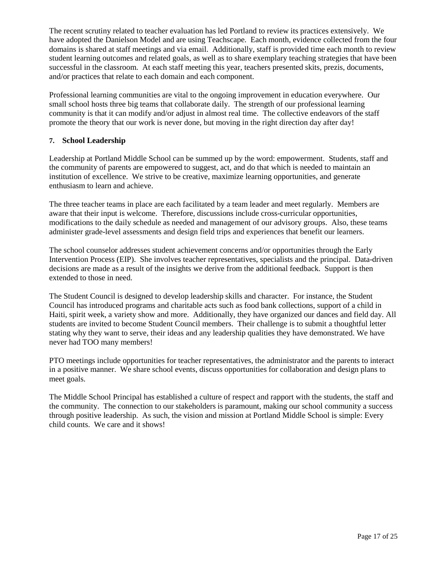The recent scrutiny related to teacher evaluation has led Portland to review its practices extensively. We have adopted the Danielson Model and are using Teachscape. Each month, evidence collected from the four domains is shared at staff meetings and via email. Additionally, staff is provided time each month to review student learning outcomes and related goals, as well as to share exemplary teaching strategies that have been successful in the classroom. At each staff meeting this year, teachers presented skits, prezis, documents, and/or practices that relate to each domain and each component.

Professional learning communities are vital to the ongoing improvement in education everywhere. Our small school hosts three big teams that collaborate daily. The strength of our professional learning community is that it can modify and/or adjust in almost real time. The collective endeavors of the staff promote the theory that our work is never done, but moving in the right direction day after day!

#### **7. School Leadership**

Leadership at Portland Middle School can be summed up by the word: empowerment. Students, staff and the community of parents are empowered to suggest, act, and do that which is needed to maintain an institution of excellence. We strive to be creative, maximize learning opportunities, and generate enthusiasm to learn and achieve.

The three teacher teams in place are each facilitated by a team leader and meet regularly. Members are aware that their input is welcome. Therefore, discussions include cross-curricular opportunities, modifications to the daily schedule as needed and management of our advisory groups. Also, these teams administer grade-level assessments and design field trips and experiences that benefit our learners.

The school counselor addresses student achievement concerns and/or opportunities through the Early Intervention Process (EIP). She involves teacher representatives, specialists and the principal. Data-driven decisions are made as a result of the insights we derive from the additional feedback. Support is then extended to those in need.

The Student Council is designed to develop leadership skills and character. For instance, the Student Council has introduced programs and charitable acts such as food bank collections, support of a child in Haiti, spirit week, a variety show and more. Additionally, they have organized our dances and field day. All students are invited to become Student Council members. Their challenge is to submit a thoughtful letter stating why they want to serve, their ideas and any leadership qualities they have demonstrated. We have never had TOO many members!

PTO meetings include opportunities for teacher representatives, the administrator and the parents to interact in a positive manner. We share school events, discuss opportunities for collaboration and design plans to meet goals.

The Middle School Principal has established a culture of respect and rapport with the students, the staff and the community. The connection to our stakeholders is paramount, making our school community a success through positive leadership. As such, the vision and mission at Portland Middle School is simple: Every child counts. We care and it shows!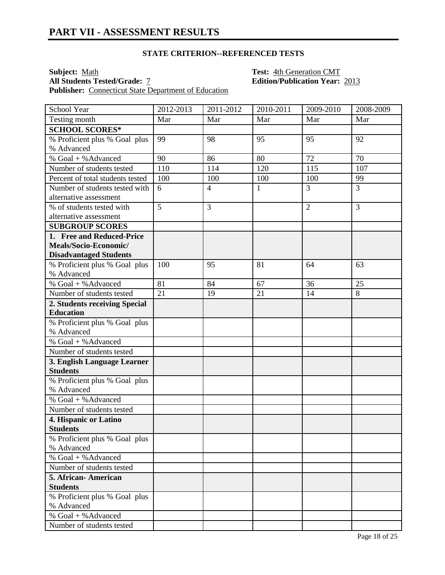#### **STATE CRITERION--REFERENCED TESTS**

**Subject:** <u>Math **Test:** Math **Test:** 4th Generation CMT **All Students Tested/Grade:** 7 **Test: Edition/Publication Year:**</u> Publisher: Connecticut State Department of Education

**All Students Tested/Grade:** 7 **Edition/Publication Year:** 2013

| School Year                                    | $2012 - 2013$ | 2011-2012      | 2010-2011    | 2009-2010      | 2008-2009      |
|------------------------------------------------|---------------|----------------|--------------|----------------|----------------|
| Testing month                                  | Mar           | Mar            | Mar          | Mar            | Mar            |
| <b>SCHOOL SCORES*</b>                          |               |                |              |                |                |
| % Proficient plus % Goal plus                  | 99            | 98             | 95           | 95             | 92             |
| % Advanced                                     |               |                |              |                |                |
| % Goal + % Advanced                            | 90            | 86             | 80           | 72             | 70             |
| Number of students tested                      | 110           | 114            | 120          | 115            | 107            |
| Percent of total students tested               | 100           | 100            | 100          | 100            | 99             |
| Number of students tested with                 | 6             | $\overline{4}$ | $\mathbf{1}$ | 3              | $\overline{3}$ |
| alternative assessment                         |               |                |              |                |                |
| % of students tested with                      | 5             | 3              |              | $\overline{2}$ | 3              |
| alternative assessment                         |               |                |              |                |                |
| <b>SUBGROUP SCORES</b>                         |               |                |              |                |                |
| 1. Free and Reduced-Price                      |               |                |              |                |                |
| Meals/Socio-Economic/                          |               |                |              |                |                |
| <b>Disadvantaged Students</b>                  |               |                |              |                |                |
| % Proficient plus % Goal plus                  | 100           | 95             | 81           | 64             | 63             |
| % Advanced                                     |               |                |              |                |                |
| % Goal + % Advanced                            | 81            | 84             | 67           | 36             | 25             |
| Number of students tested                      | 21            | 19             | 21           | 14             | 8              |
| 2. Students receiving Special                  |               |                |              |                |                |
| <b>Education</b>                               |               |                |              |                |                |
| % Proficient plus % Goal plus                  |               |                |              |                |                |
| % Advanced<br>% Goal + % Advanced              |               |                |              |                |                |
|                                                |               |                |              |                |                |
| Number of students tested                      |               |                |              |                |                |
| 3. English Language Learner<br><b>Students</b> |               |                |              |                |                |
| % Proficient plus % Goal plus                  |               |                |              |                |                |
| % Advanced                                     |               |                |              |                |                |
| % Goal + % Advanced                            |               |                |              |                |                |
| Number of students tested                      |               |                |              |                |                |
| 4. Hispanic or Latino                          |               |                |              |                |                |
| <b>Students</b>                                |               |                |              |                |                |
| % Proficient plus % Goal plus                  |               |                |              |                |                |
| % Advanced                                     |               |                |              |                |                |
| % Goal + % Advanced                            |               |                |              |                |                |
| Number of students tested                      |               |                |              |                |                |
| 5. African-American                            |               |                |              |                |                |
| <b>Students</b>                                |               |                |              |                |                |
| % Proficient plus % Goal plus                  |               |                |              |                |                |
| % Advanced                                     |               |                |              |                |                |
| % Goal + % Advanced                            |               |                |              |                |                |
| Number of students tested                      |               |                |              |                |                |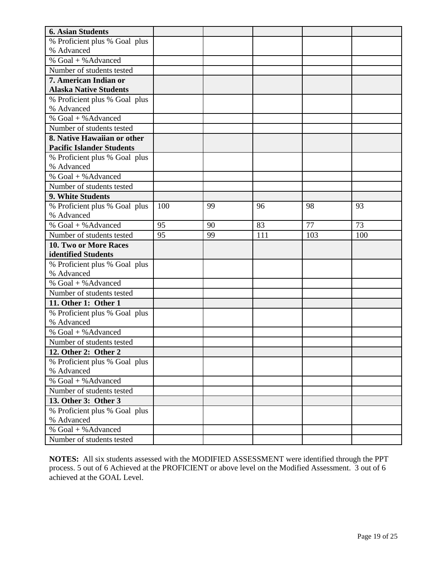| <b>6. Asian Students</b>         |     |    |     |     |     |
|----------------------------------|-----|----|-----|-----|-----|
| % Proficient plus % Goal plus    |     |    |     |     |     |
| % Advanced                       |     |    |     |     |     |
| % Goal + % Advanced              |     |    |     |     |     |
| Number of students tested        |     |    |     |     |     |
| 7. American Indian or            |     |    |     |     |     |
| <b>Alaska Native Students</b>    |     |    |     |     |     |
| % Proficient plus % Goal plus    |     |    |     |     |     |
| % Advanced                       |     |    |     |     |     |
| % Goal + % Advanced              |     |    |     |     |     |
| Number of students tested        |     |    |     |     |     |
| 8. Native Hawaiian or other      |     |    |     |     |     |
| <b>Pacific Islander Students</b> |     |    |     |     |     |
| % Proficient plus % Goal plus    |     |    |     |     |     |
| % Advanced                       |     |    |     |     |     |
| % $Goal + %$ Advanced            |     |    |     |     |     |
| Number of students tested        |     |    |     |     |     |
| 9. White Students                |     |    |     |     |     |
| % Proficient plus % Goal plus    | 100 | 99 | 96  | 98  | 93  |
| % Advanced                       |     |    |     |     |     |
| % Goal + % Advanced              | 95  | 90 | 83  | 77  | 73  |
| Number of students tested        | 95  | 99 | 111 | 103 | 100 |
| 10. Two or More Races            |     |    |     |     |     |
| identified Students              |     |    |     |     |     |
| % Proficient plus % Goal plus    |     |    |     |     |     |
| % Advanced                       |     |    |     |     |     |
| % Goal + % Advanced              |     |    |     |     |     |
| Number of students tested        |     |    |     |     |     |
| 11. Other 1: Other 1             |     |    |     |     |     |
| % Proficient plus % Goal plus    |     |    |     |     |     |
| % Advanced                       |     |    |     |     |     |
| % Goal + % Advanced              |     |    |     |     |     |
| Number of students tested        |     |    |     |     |     |
| 12. Other 2: Other 2             |     |    |     |     |     |
| % Proficient plus % Goal plus    |     |    |     |     |     |
| % Advanced                       |     |    |     |     |     |
| % Goal + % Advanced              |     |    |     |     |     |
| Number of students tested        |     |    |     |     |     |
| 13. Other 3: Other 3             |     |    |     |     |     |
| % Proficient plus % Goal plus    |     |    |     |     |     |
| % Advanced                       |     |    |     |     |     |
| % Goal + % Advanced              |     |    |     |     |     |
| Number of students tested        |     |    |     |     |     |

**NOTES:** All six students assessed with the MODIFIED ASSESSMENT were identified through the PPT process. 5 out of 6 Achieved at the PROFICIENT or above level on the Modified Assessment. 3 out of 6 achieved at the GOAL Level.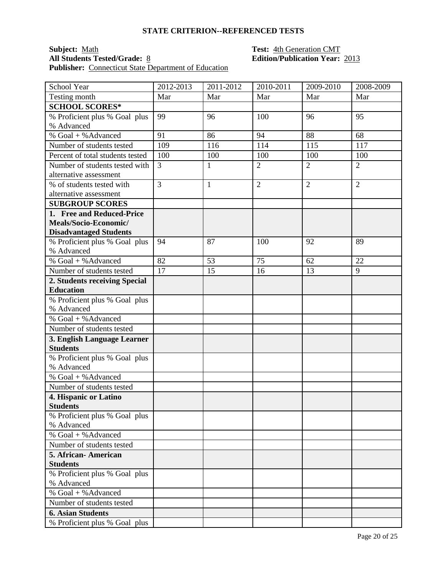#### **STATE CRITERION--REFERENCED TESTS**

### **Subject:** <u>Math **Test:** Math **Test: Math <b>Test: 4th Generation CMT All Students Tested/Grade:** <u>8</u> **CO Edition/Publication Year: CO Edition**</u> **Publisher:** Connecticut State Department of Education

# **Edition/Publication Year: 2013**

| School Year                                       | 2012-2013      | 2011-2012    | 2010-2011      | 2009-2010      | 2008-2009      |
|---------------------------------------------------|----------------|--------------|----------------|----------------|----------------|
| Testing month                                     | Mar            | Mar          | Mar            | Mar            | Mar            |
| <b>SCHOOL SCORES*</b>                             |                |              |                |                |                |
| % Proficient plus % Goal plus                     | 99             | 96           | 100            | 96             | 95             |
| % Advanced                                        |                |              |                |                |                |
| % Goal + % Advanced                               | 91             | 86           | 94             | 88             | 68             |
| Number of students tested                         | 109            | 116          | 114            | 115            | 117            |
| Percent of total students tested                  | 100            | 100          | 100            | 100            | 100            |
| Number of students tested with                    | $\overline{3}$ | $\mathbf{1}$ | $\overline{2}$ | $\overline{2}$ | $\overline{2}$ |
| alternative assessment                            |                |              |                |                |                |
| % of students tested with                         | $\overline{3}$ | $\mathbf{1}$ | $\overline{2}$ | $\overline{2}$ | $\overline{2}$ |
| alternative assessment                            |                |              |                |                |                |
| <b>SUBGROUP SCORES</b>                            |                |              |                |                |                |
| 1. Free and Reduced-Price                         |                |              |                |                |                |
| Meals/Socio-Economic/                             |                |              |                |                |                |
| <b>Disadvantaged Students</b>                     |                |              |                |                |                |
| % Proficient plus % Goal plus<br>% Advanced       | 94             | 87           | 100            | 92             | 89             |
| $\sqrt[6]{6}$ Goal + % Advanced                   | 82             | 53           | 75             | 62             | 22             |
| Number of students tested                         | 17             | 15           | 16             | 13             | 9              |
|                                                   |                |              |                |                |                |
| 2. Students receiving Special<br><b>Education</b> |                |              |                |                |                |
| % Proficient plus % Goal plus                     |                |              |                |                |                |
| % Advanced                                        |                |              |                |                |                |
| % Goal + % Advanced                               |                |              |                |                |                |
| Number of students tested                         |                |              |                |                |                |
| 3. English Language Learner                       |                |              |                |                |                |
| <b>Students</b>                                   |                |              |                |                |                |
| % Proficient plus % Goal plus                     |                |              |                |                |                |
| % Advanced                                        |                |              |                |                |                |
| % Goal + % Advanced                               |                |              |                |                |                |
| Number of students tested                         |                |              |                |                |                |
| 4. Hispanic or Latino                             |                |              |                |                |                |
| <b>Students</b>                                   |                |              |                |                |                |
| % Proficient plus % Goal plus                     |                |              |                |                |                |
| % Advanced                                        |                |              |                |                |                |
| % Goal + % Advanced                               |                |              |                |                |                |
| Number of students tested                         |                |              |                |                |                |
| 5. African-American                               |                |              |                |                |                |
| <b>Students</b>                                   |                |              |                |                |                |
| % Proficient plus % Goal plus                     |                |              |                |                |                |
| % Advanced                                        |                |              |                |                |                |
| % Goal + % Advanced                               |                |              |                |                |                |
| Number of students tested                         |                |              |                |                |                |
| <b>6. Asian Students</b>                          |                |              |                |                |                |
| % Proficient plus % Goal plus                     |                |              |                |                |                |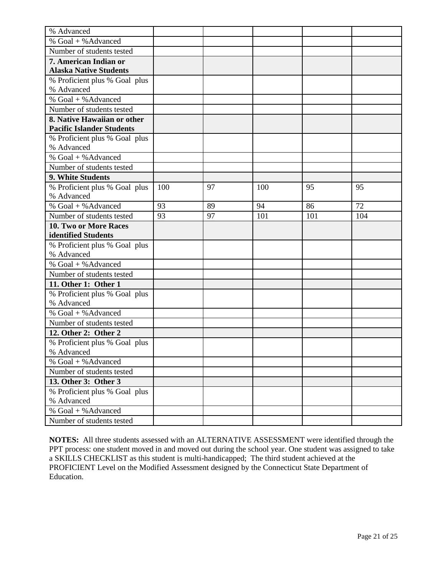| % Advanced                                  |     |    |     |     |     |
|---------------------------------------------|-----|----|-----|-----|-----|
| % Goal + % Advanced                         |     |    |     |     |     |
| Number of students tested                   |     |    |     |     |     |
| 7. American Indian or                       |     |    |     |     |     |
| <b>Alaska Native Students</b>               |     |    |     |     |     |
| % Proficient plus % Goal plus               |     |    |     |     |     |
| % Advanced                                  |     |    |     |     |     |
| % Goal + % Advanced                         |     |    |     |     |     |
| Number of students tested                   |     |    |     |     |     |
| 8. Native Hawaiian or other                 |     |    |     |     |     |
| <b>Pacific Islander Students</b>            |     |    |     |     |     |
| % Proficient plus % Goal plus               |     |    |     |     |     |
| % Advanced                                  |     |    |     |     |     |
| % Goal + % Advanced                         |     |    |     |     |     |
| Number of students tested                   |     |    |     |     |     |
| 9. White Students                           |     |    |     |     |     |
| % Proficient plus % Goal plus               | 100 | 97 | 100 | 95  | 95  |
| % Advanced                                  |     |    |     |     |     |
| % Goal + % Advanced                         | 93  | 89 | 94  | 86  | 72  |
| Number of students tested                   | 93  | 97 | 101 | 101 | 104 |
| 10. Two or More Races                       |     |    |     |     |     |
| identified Students                         |     |    |     |     |     |
| % Proficient plus % Goal plus<br>% Advanced |     |    |     |     |     |
| % Goal + % Advanced                         |     |    |     |     |     |
| Number of students tested                   |     |    |     |     |     |
| 11. Other 1: Other 1                        |     |    |     |     |     |
| % Proficient plus % Goal plus               |     |    |     |     |     |
| % Advanced                                  |     |    |     |     |     |
| % Goal + % Advanced                         |     |    |     |     |     |
| Number of students tested                   |     |    |     |     |     |
| 12. Other 2: Other 2                        |     |    |     |     |     |
| % Proficient plus % Goal plus               |     |    |     |     |     |
| % Advanced                                  |     |    |     |     |     |
| % Goal + % Advanced                         |     |    |     |     |     |
| Number of students tested                   |     |    |     |     |     |
| 13. Other 3: Other 3                        |     |    |     |     |     |
| % Proficient plus % Goal plus               |     |    |     |     |     |
| % Advanced                                  |     |    |     |     |     |
| % Goal + % Advanced                         |     |    |     |     |     |
| Number of students tested                   |     |    |     |     |     |

**NOTES:** All three students assessed with an ALTERNATIVE ASSESSMENT were identified through the PPT process: one student moved in and moved out during the school year. One student was assigned to take a SKILLS CHECKLIST as this student is multi-handicapped; The third student achieved at the PROFICIENT Level on the Modified Assessment designed by the Connecticut State Department of Education.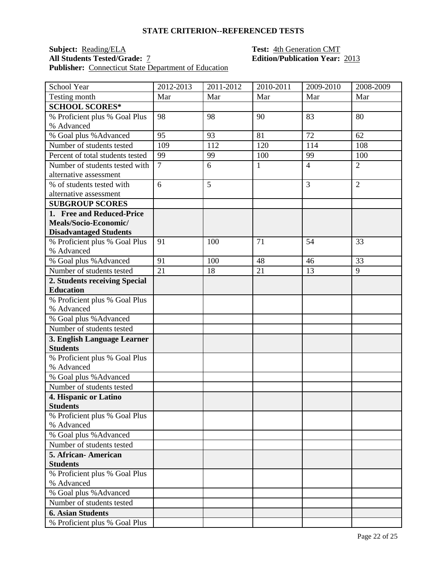#### **STATE CRITERION--REFERENCED TESTS**

### **Subject: Reading/ELA Test: 4th Generation CMT**<br>**All Students Tested/Grade:** <u>7</u> **Test: Edition/Publication Year:** Publisher: Connecticut State Department of Education

## **Edition/Publication Year: 2013**

| School Year                                         | 2012-2013      | 2011-2012 | 2010-2011    | 2009-2010      | 2008-2009      |
|-----------------------------------------------------|----------------|-----------|--------------|----------------|----------------|
| Testing month                                       | Mar            | Mar       | Mar          | Mar            | Mar            |
| <b>SCHOOL SCORES*</b>                               |                |           |              |                |                |
| % Proficient plus % Goal Plus                       | 98             | 98        | 90           | 83             | 80             |
| % Advanced                                          |                |           |              |                |                |
| % Goal plus % Advanced                              | 95             | 93        | 81           | 72             | 62             |
| Number of students tested                           | 109            | 112       | 120          | 114            | 108            |
| Percent of total students tested                    | 99             | 99        | 100          | 99             | 100            |
| Number of students tested with                      | $\overline{7}$ | 6         | $\mathbf{1}$ | $\overline{4}$ | $\overline{2}$ |
| alternative assessment                              |                |           |              |                |                |
| % of students tested with                           | 6              | 5         |              | 3              | $\overline{2}$ |
| alternative assessment                              |                |           |              |                |                |
| <b>SUBGROUP SCORES</b>                              |                |           |              |                |                |
| 1. Free and Reduced-Price                           |                |           |              |                |                |
| Meals/Socio-Economic/                               |                |           |              |                |                |
| <b>Disadvantaged Students</b>                       |                |           |              |                |                |
| % Proficient plus % Goal Plus                       | 91             | 100       | 71           | 54             | 33             |
| % Advanced                                          | 91             |           |              |                | 33             |
| % Goal plus % Advanced<br>Number of students tested | 21             | 100<br>18 | 48<br>21     | 46<br>13       | 9              |
|                                                     |                |           |              |                |                |
| 2. Students receiving Special<br><b>Education</b>   |                |           |              |                |                |
| % Proficient plus % Goal Plus                       |                |           |              |                |                |
| % Advanced                                          |                |           |              |                |                |
| % Goal plus % Advanced                              |                |           |              |                |                |
| Number of students tested                           |                |           |              |                |                |
| 3. English Language Learner                         |                |           |              |                |                |
| <b>Students</b>                                     |                |           |              |                |                |
| % Proficient plus % Goal Plus                       |                |           |              |                |                |
| % Advanced                                          |                |           |              |                |                |
| % Goal plus % Advanced                              |                |           |              |                |                |
| Number of students tested                           |                |           |              |                |                |
| 4. Hispanic or Latino                               |                |           |              |                |                |
| <b>Students</b>                                     |                |           |              |                |                |
| % Proficient plus % Goal Plus                       |                |           |              |                |                |
| % Advanced                                          |                |           |              |                |                |
| % Goal plus % Advanced                              |                |           |              |                |                |
| Number of students tested                           |                |           |              |                |                |
| 5. African-American                                 |                |           |              |                |                |
| <b>Students</b>                                     |                |           |              |                |                |
| % Proficient plus % Goal Plus                       |                |           |              |                |                |
| % Advanced                                          |                |           |              |                |                |
| % Goal plus % Advanced                              |                |           |              |                |                |
| Number of students tested                           |                |           |              |                |                |
| <b>6. Asian Students</b>                            |                |           |              |                |                |
| % Proficient plus % Goal Plus                       |                |           |              |                |                |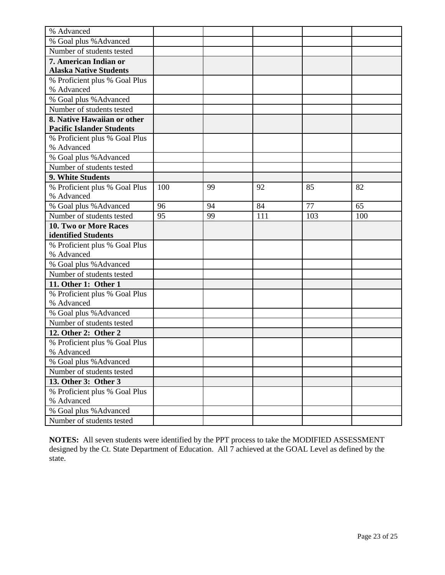| % Advanced                       |     |    |     |     |     |
|----------------------------------|-----|----|-----|-----|-----|
| % Goal plus % Advanced           |     |    |     |     |     |
| Number of students tested        |     |    |     |     |     |
| 7. American Indian or            |     |    |     |     |     |
| <b>Alaska Native Students</b>    |     |    |     |     |     |
| % Proficient plus % Goal Plus    |     |    |     |     |     |
| % Advanced                       |     |    |     |     |     |
| % Goal plus % Advanced           |     |    |     |     |     |
| Number of students tested        |     |    |     |     |     |
| 8. Native Hawaiian or other      |     |    |     |     |     |
| <b>Pacific Islander Students</b> |     |    |     |     |     |
| % Proficient plus % Goal Plus    |     |    |     |     |     |
| % Advanced                       |     |    |     |     |     |
| % Goal plus % Advanced           |     |    |     |     |     |
| Number of students tested        |     |    |     |     |     |
| 9. White Students                |     |    |     |     |     |
| % Proficient plus % Goal Plus    | 100 | 99 | 92  | 85  | 82  |
| % Advanced                       |     |    |     |     |     |
| % Goal plus % Advanced           | 96  | 94 | 84  | 77  | 65  |
| Number of students tested        | 95  | 99 | 111 | 103 | 100 |
| 10. Two or More Races            |     |    |     |     |     |
| identified Students              |     |    |     |     |     |
| % Proficient plus % Goal Plus    |     |    |     |     |     |
| % Advanced                       |     |    |     |     |     |
| % Goal plus % Advanced           |     |    |     |     |     |
| Number of students tested        |     |    |     |     |     |
| 11. Other 1: Other 1             |     |    |     |     |     |
| % Proficient plus % Goal Plus    |     |    |     |     |     |
| % Advanced                       |     |    |     |     |     |
| % Goal plus % Advanced           |     |    |     |     |     |
| Number of students tested        |     |    |     |     |     |
| 12. Other 2: Other 2             |     |    |     |     |     |
| % Proficient plus % Goal Plus    |     |    |     |     |     |
| % Advanced                       |     |    |     |     |     |
| % Goal plus % Advanced           |     |    |     |     |     |
| Number of students tested        |     |    |     |     |     |
| 13. Other 3: Other 3             |     |    |     |     |     |
| % Proficient plus % Goal Plus    |     |    |     |     |     |
| % Advanced                       |     |    |     |     |     |
| % Goal plus % Advanced           |     |    |     |     |     |
| Number of students tested        |     |    |     |     |     |

**NOTES:** All seven students were identified by the PPT process to take the MODIFIED ASSESSMENT designed by the Ct. State Department of Education. All 7 achieved at the GOAL Level as defined by the state.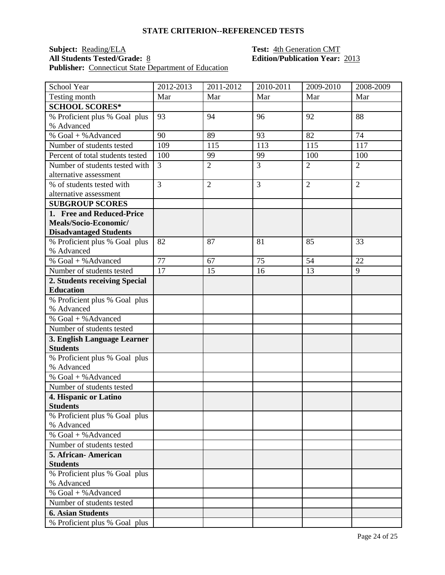#### **STATE CRITERION--REFERENCED TESTS**

## **Subject: Reading/ELA Test: 4th Generation CMT**<br>**All Students Tested/Grade:** <u>8</u> **Test: Edition/Publication Year: Publisher:** Connecticut State Department of Education

# **Edition/Publication Year: 2013**

| Testing month<br>Mar<br>Mar<br>Mar<br>Mar<br>Mar<br><b>SCHOOL SCORES*</b><br>% Proficient plus % Goal plus<br>92<br>88<br>93<br>94<br>96<br>% Advanced<br>% Goal + % Advanced<br>90<br>89<br>93<br>82<br>74<br>109<br>115<br>113<br>115<br>117<br>Number of students tested<br>Percent of total students tested<br>100<br>99<br>99<br>100<br>100 |
|--------------------------------------------------------------------------------------------------------------------------------------------------------------------------------------------------------------------------------------------------------------------------------------------------------------------------------------------------|
|                                                                                                                                                                                                                                                                                                                                                  |
|                                                                                                                                                                                                                                                                                                                                                  |
|                                                                                                                                                                                                                                                                                                                                                  |
|                                                                                                                                                                                                                                                                                                                                                  |
|                                                                                                                                                                                                                                                                                                                                                  |
|                                                                                                                                                                                                                                                                                                                                                  |
|                                                                                                                                                                                                                                                                                                                                                  |
| $\overline{3}$<br>Number of students tested with<br>$\overline{2}$<br>$\overline{2}$<br>$\overline{3}$<br>$\overline{2}$                                                                                                                                                                                                                         |
| alternative assessment                                                                                                                                                                                                                                                                                                                           |
| $\overline{3}$<br>$\overline{2}$<br>$\overline{2}$<br>3<br>$\overline{2}$<br>% of students tested with                                                                                                                                                                                                                                           |
| alternative assessment                                                                                                                                                                                                                                                                                                                           |
| <b>SUBGROUP SCORES</b>                                                                                                                                                                                                                                                                                                                           |
| 1. Free and Reduced-Price                                                                                                                                                                                                                                                                                                                        |
| Meals/Socio-Economic/                                                                                                                                                                                                                                                                                                                            |
| <b>Disadvantaged Students</b><br>% Proficient plus % Goal plus<br>87<br>33<br>82<br>81<br>85                                                                                                                                                                                                                                                     |
| % Advanced                                                                                                                                                                                                                                                                                                                                       |
| % Goal + % Advanced<br>77<br>54<br>75<br>22<br>67                                                                                                                                                                                                                                                                                                |
| 17<br>15<br>13<br>Number of students tested<br>16<br>9                                                                                                                                                                                                                                                                                           |
| 2. Students receiving Special                                                                                                                                                                                                                                                                                                                    |
| <b>Education</b>                                                                                                                                                                                                                                                                                                                                 |
| % Proficient plus % Goal plus                                                                                                                                                                                                                                                                                                                    |
| % Advanced                                                                                                                                                                                                                                                                                                                                       |
| % Goal + % Advanced                                                                                                                                                                                                                                                                                                                              |
| Number of students tested                                                                                                                                                                                                                                                                                                                        |
| 3. English Language Learner                                                                                                                                                                                                                                                                                                                      |
| <b>Students</b>                                                                                                                                                                                                                                                                                                                                  |
| % Proficient plus % Goal plus                                                                                                                                                                                                                                                                                                                    |
| % Advanced                                                                                                                                                                                                                                                                                                                                       |
| % Goal + % Advanced                                                                                                                                                                                                                                                                                                                              |
| Number of students tested                                                                                                                                                                                                                                                                                                                        |
| 4. Hispanic or Latino                                                                                                                                                                                                                                                                                                                            |
| <b>Students</b>                                                                                                                                                                                                                                                                                                                                  |
| % Proficient plus % Goal plus<br>% Advanced                                                                                                                                                                                                                                                                                                      |
| % Goal + % Advanced                                                                                                                                                                                                                                                                                                                              |
| Number of students tested                                                                                                                                                                                                                                                                                                                        |
| 5. African-American                                                                                                                                                                                                                                                                                                                              |
| <b>Students</b>                                                                                                                                                                                                                                                                                                                                  |
| % Proficient plus % Goal plus                                                                                                                                                                                                                                                                                                                    |
| % Advanced                                                                                                                                                                                                                                                                                                                                       |
| % Goal + % Advanced                                                                                                                                                                                                                                                                                                                              |
| Number of students tested                                                                                                                                                                                                                                                                                                                        |
| <b>6. Asian Students</b>                                                                                                                                                                                                                                                                                                                         |
| % Proficient plus % Goal plus                                                                                                                                                                                                                                                                                                                    |